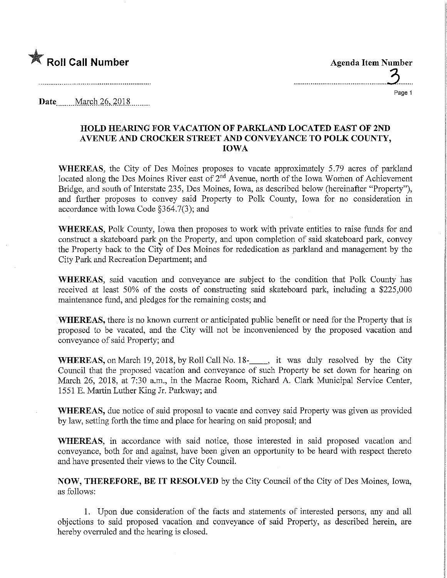

**Agenda Item Number** 

**Date** March 26, 2018

## HOLD HEARING FOR VACATION OF PARKLAND LOCATED EAST OF 2ND AVENUE AND CROCKER STREET AND CONVEYANCE TO POLK COUNTY, IOWA

WHEREAS, the City of Des Moines proposes to vacate approximately 5.79 acres of parkland located along the Des Moines River east of 2nd Avenue, north of the Iowa Women of Achievement Bridge, and south of Interstate 235, Des Moines, Iowa, as described below (hereinafter "Property"), and further proposes to convey said Property to Polk County. Iowa for no consideration in accordance with Iowa Code §364.7(3); and

WHEREAS, Polk County, Iowa then proposes to work with private entities to raise funds for and construct a skateboard park on the Property, and upon completion of said skateboard park, convey the Property back to the City of Des Moines for rededication as parkland and management by the City Park and Recreation Department; and

WHEREAS, said vacation and conveyance are subject to the condition that Polk County has received at least 50% of the costs of constructing said skateboard park, mcluding a \$225,000 maintenance fund, and pledges for the remaining costs; and

WHEREAS, there is no known current or anticipated public benefit or need for the Property that is proposed to be vacated, and the City will not be inconvenienced by the proposed vacation and conveyance of said Property; and

WHEREAS, on March 19, 2018, by Roll Call No. 18-, it was duly resolved by the City Council that the proposed vacation and conveyance of such Property be set down for hearing on March 26, 2018, at 7:30 a.m., in the Macrae Room, Richard A. Clark Municipal Service Center, 1551 E. Martin Luther King Jr. Parkway; and

WHEREAS, due notice of said proposal to vacate and convey said Property was given as provided by law, setting forth the time and place for hearing on said proposal; and

WHEREAS, in accordance with said notice, those interested in said proposed vacation and conveyance, both for and against, have been given an opportunity to be heard with respect thereto and have presented their views to the City Council.

NOW, THEREFORE, BE IT RESOLVED by the City Council of the City of Des Moines, Iowa, as follows:

1. Upon due consideration of the facts and statements of interested persons, any and all objections to said proposed vacation and conveyance of said Property, as described herein, are hereby overruled and the hearing is closed.

Page 1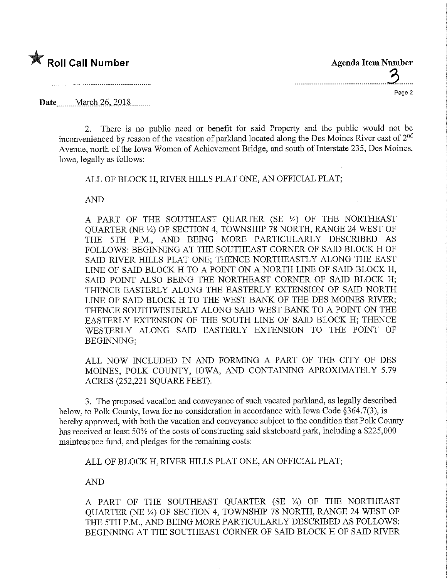

| <b>Agenda Item Number</b> |  |
|---------------------------|--|
|                           |  |
| Page 2                    |  |

 $\cdots$ 

Date, March 26, 2018

2. There is no public need or benefit for said Property and the public would not be inconvenienced by reason of the vacation of parkland located along the Des Moines River east of 2<sup>nd</sup> Avenue, north of the Iowa Women of Achievement Bridge, and south of Interstate 235, Des Moines, Iowa, legally as follows:

ALL OF BLOCK H, RIVER HILLS PLAT ONE, AN OFFICIAL PLAT;

AND

A PART OF THE SOUTHEAST QUARTER (SE 1/4) OF THE NORTHEAST QUARTER (NE ¼) OF SECTION 4, TOWNSHIP 78 NORTH, RANGE 24 WEST OF THE 5TH P.M, AND BEING MORE PARTICULARLY DESCRIBED AS FOLLOWS: BEGINNING AT THE SOUTHEAST CORNER OF SAID BLOCK H OF SAID RIVER HILLS PLAT ONE; THENCE NORTHEASTLY ALONG THE EAST UNE OF SAID BLOCK H TO A POMT ON A NORTH LINE OF SAID BLOCK H, SAID POINT ALSO BEING THE NORTHEAST CORNER OF SAID BLOCK H: THENCE EASTERLY ALONG THE EASTERLY EXTENSION OF SAID NORTH LINE OF SAID BLOCK H TO THE WEST BANK OF THE DES MOINES RIVER; THENCE SOUTHWESTERLY ALONG SAID WEST BANK TO A POINT ON THE EASTERLY EXTENSION OF THE SOUTH LINE OF SAID BLOCK H; THENCE WESTERLY ALONG SAID EASTERLY EXTENSION TO THE POINT OF BEGINNING;

ALL NOW INCLUDED IN AND FORMING A PART OF THE CITY OF DES MOINES, POLK COUNTY, IOWA, AND CONTAINING APROXIMATELY 5.79 ACRES (252,221 SQUARE FEET).

3. The proposed vacation and conveyance of such vacated parkland, as legally described below, to Polk County, Iowa for no consideration in accordance with Iowa Code §364.7(3), is hereby approved, with both the vacation and conveyance subject to the condition that Polk County has received at least 50% of the costs of constructing said skateboard park, including a \$225,000 maintenance fund, and pledges for the remaining costs:

ALL OF BLOCK H, RIVER HILLS PLAT ONE, AN OFFICIAL PLAT;

AND

A PART OF THE SOUTHEAST QUARTER (SE 1/4) OF THE NORTHEAST QUARTER (NE %) OF SECTION 4, TOWNSHIP 78 NORTH, RANGE 24 WEST OF THE 5TH P.M., AND BEING MORE PARTICULARLY DESCRIBED AS FOLLOWS: BEGINNING AT THE SOUTHEAST CORNER OF SAID BLOCK H OF SAID RIVER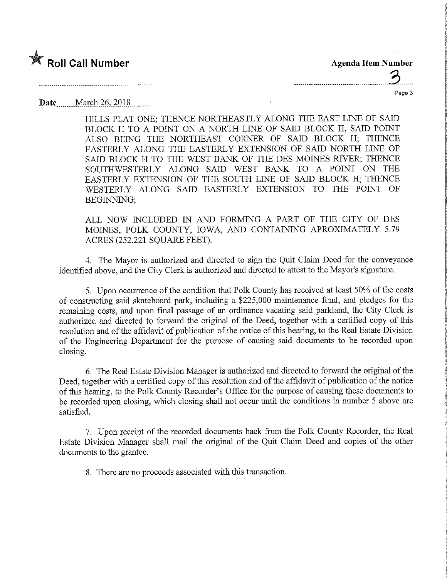

Page 3

Date March 26, 2018

HILLS PLAT ONE; THENCE NORTHEASTLY ALONG THE EAST LINE OF SAID BLOCK H TO A POINT ON A NORTH LINE OF SAID BLOCK H, SAID POINT ALSO BEING THE NORTHEAST CORNER OF SAID BLOCK H; THENCE EASTERLY ALONG THE EASTERLY EXTENSION OF SAID NORTH LINE OF SAID BLOCK H TO THE WEST BANK OF THE DES MOINES RIVER; THENCE SOUTHWESTERLY ALONG SAID WEST BANK TO A POINT ON THE EASTERLY EXTENSION OF THE SOUTH LINE OF SAID BLOCK H; THENCE WESTERLY ALONG SAID EASTERLY EXTENSION TO THE POINT OF BEGINNING;

ALL NOW INCLUDED IN AND FORMING A PART OF THE CITY OF DES MOINES, POLK COUNTY, IOWA, AND CONTAINING APROXIMATELY 5.79 ACRES (252,221 SQUARE FEET).

4. The Mayor is authorized and directed to sign the Quit Claim Deed for the conveyance identified above, and the City Clerk is authorized and directed to attest to the Mayor's signature.

5. Upon occurrence of the condition that Polk County has received at least 50% of the costs of constructing said skateboard park, including a \$225,000 maintenance fund, and pledges for the remaining costs, and upon final passage of an ordinance vacating said parkland, the City Clerk is authorized and directed to forward the original of the Deed, together with a certified copy of this resolution and of the affidavit of publication of the notice of this hearing, to the Real Estate Division of the Engineering Department for the purpose of causing said documents to be recorded upon closing.

6. The Real Estate Division Manager is authorized and directed to forward the original of the Deed, together with a certified copy of this resolution and of the affidavit of publication of the notice of this hearing, to the Polk County Recorder's Office for the purpose of causing these documents to be recorded upon closing, which closing shall not occur until the conditions in number 5 above are satisfied.

7. Upon receipt of the recorded documents back from the Polk County Recorder, the Real Estate Division Manager shall mail the original of the Quit Claim Deed and copies of the other documents to the grantee.

8. There are no proceeds associated with this transaction.